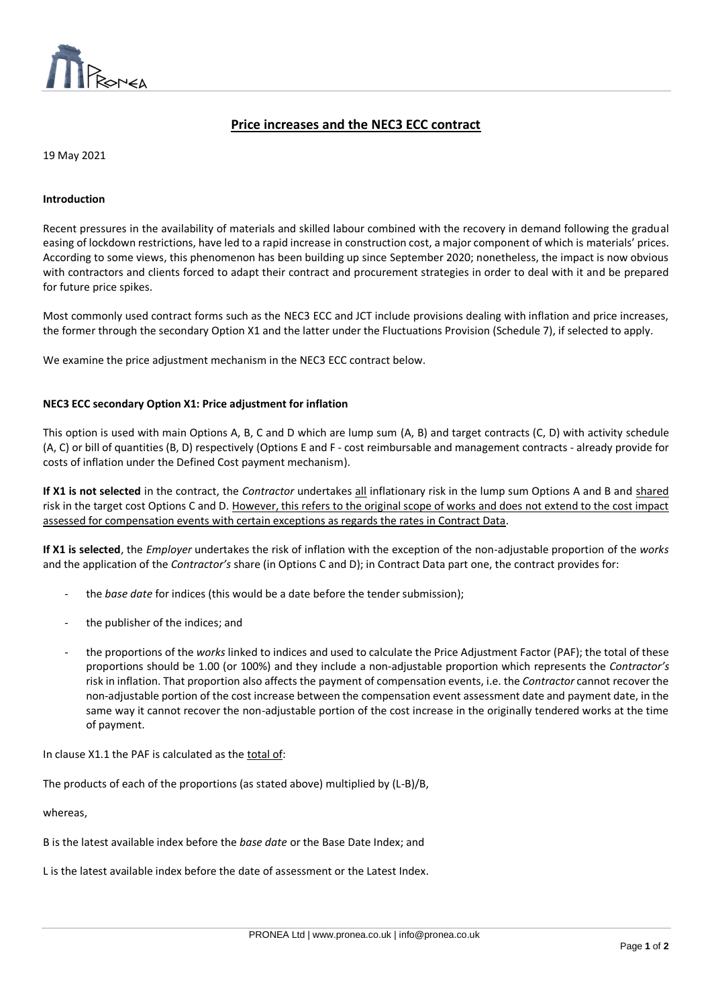

# **Price increases and the NEC3 ECC contract**

 $\overline{a}$ 

19 May 2021

# **Introduction**

Recent pressures in the availability of materials and skilled labour combined with the recovery in demand following the gradual easing of lockdown restrictions, have led to a rapid increase in construction cost, a major component of which is materials' prices. According to some views, this phenomenon has been building up since September 2020; nonetheless, the impact is now obvious with contractors and clients forced to adapt their contract and procurement strategies in order to deal with it and be prepared for future price spikes.

Most commonly used contract forms such as the NEC3 ECC and JCT include provisions dealing with inflation and price increases, the former through the secondary Option X1 and the latter under the Fluctuations Provision (Schedule 7), if selected to apply.

We examine the price adjustment mechanism in the NEC3 ECC contract below.

# **NEC3 ECC secondary Option X1: Price adjustment for inflation**

This option is used with main Options A, B, C and D which are lump sum (A, B) and target contracts (C, D) with activity schedule (A, C) or bill of quantities (B, D) respectively (Options E and F - cost reimbursable and management contracts - already provide for costs of inflation under the Defined Cost payment mechanism).

**If X1 is not selected** in the contract, the *Contractor* undertakes all inflationary risk in the lump sum Options A and B and shared risk in the target cost Options C and D. However, this refers to the original scope of works and does not extend to the cost impact assessed for compensation events with certain exceptions as regards the rates in Contract Data.

**If X1 is selected**, the *Employer* undertakes the risk of inflation with the exception of the non-adjustable proportion of the *works* and the application of the *Contractor's* share (in Options C and D); in Contract Data part one, the contract provides for:

- the *base date* for indices (this would be a date before the tender submission);
- the publisher of the indices; and
- the proportions of the *works* linked to indices and used to calculate the Price Adjustment Factor (PAF); the total of these proportions should be 1.00 (or 100%) and they include a non-adjustable proportion which represents the *Contractor's* risk in inflation. That proportion also affects the payment of compensation events, i.e. the *Contractor* cannot recover the non-adjustable portion of the cost increase between the compensation event assessment date and payment date, in the same way it cannot recover the non-adjustable portion of the cost increase in the originally tendered works at the time of payment.

In clause X1.1 the PAF is calculated as the total of:

The products of each of the proportions (as stated above) multiplied by (L-B)/B,

whereas,

B is the latest available index before the *base date* or the Base Date Index; and

L is the latest available index before the date of assessment or the Latest Index.